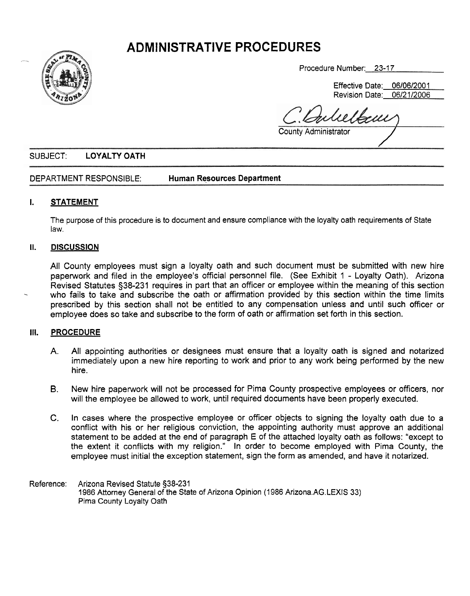# **ADMlNISTRATIVE PROCEDURES**



Procedure Number: 23-17

Effective Date: 06/06/200 1 Revision Date: 06/21/2006

Procedure Number: 23-17<br>Effective Date: 06/06/2001<br>Revision Date: 06/21/2006<br>County Administrator

## SUBJECT: **LOYALTY OATH**

DEPARTMENT RESPONSIBLE: **Human Resources Department** 

## **I. STATEMENT**

The purpose of this procedure is to document and ensure compliance with the loyalty oath requirements of State law.

#### **II. DISCUSSION**

All County employees must sign a loyalty oath and such document must be submitted with new hire papetwork and filed in the employee's official personnel file. (See Exhibit 1 - Loyalty Oath). Arizona who fails to take and subscribe the oath or affirmation provided by this section within the time limits prescribed by this section shall not be entitled to any compensation unless and until such officer or employee does so take and subscribe to the form of oath or affirmation set forth in this section.

#### **Ill. PROCEDURE**

- A. All appointing authorities or designees must ensure that a loyalty oath is signed and notarized immediately upon a new hire reporting to work and prior to any work being performed by the new hire.
- B. New hire paperwork will not be processed for Pima County prospective employees or officers, nor will the employee be allowed to work, until required documents have been properly executed.
- **C.** In cases where the prospective employee or officer objects to signing the loyalty oath due to a conflict with his or her religious conviction, the appointing authority must approve an additional statement to be added at the end of paragraph E of the attached loyalty oath as follows: "except to the extent it conflicts with my religion." In order to become employed with Pima County, the employee must initial the exception statement, sign the form as amended, and have it notarized.
- Reference: Arizona Revised Statute §38-231 1986 Attorney General of the State of Arizona Opinion (1 986 Arizona.AG.LEXIS 33) Pima County Loyalty Oath